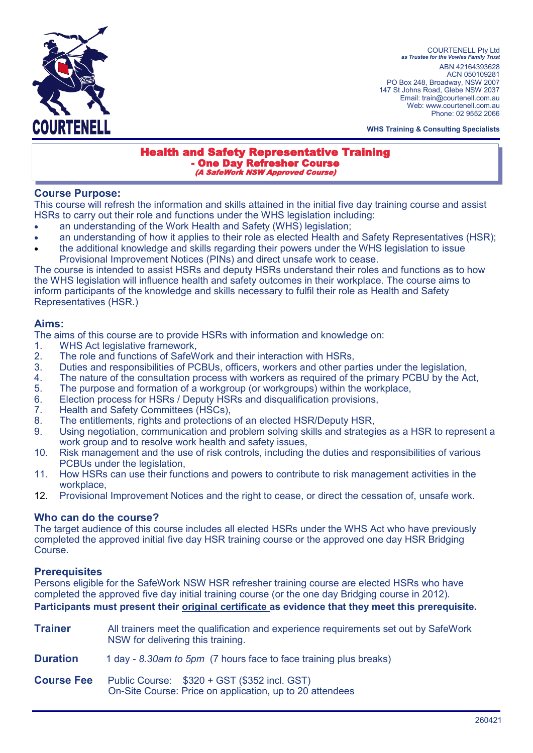

COURTENELL Pty Ltd *as Trustee for the Vowles Family Trust* ABN 42164393628 ACN 050109281 PO Box 248, Broadway, NSW 2007 147 St Johns Road, Glebe NSW 2037 Email: train@courtenell.com.au Web: www.courtenell.com.au Phone: 02 9552 2066

**WHS Training & Consulting Specialists**

#### Health and Safety Representative Training - One Day Refresher Course (A SafeWork NSW Approved Course)

#### **Course Purpose:**

This course will refresh the information and skills attained in the initial five day training course and assist HSRs to carry out their role and functions under the WHS legislation including:

- an understanding of the Work Health and Safety (WHS) legislation:
- an understanding of how it applies to their role as elected Health and Safety Representatives (HSR);
- the additional knowledge and skills regarding their powers under the WHS legislation to issue Provisional Improvement Notices (PINs) and direct unsafe work to cease.

The course is intended to assist HSRs and deputy HSRs understand their roles and functions as to how the WHS legislation will influence health and safety outcomes in their workplace. The course aims to inform participants of the knowledge and skills necessary to fulfil their role as Health and Safety Representatives (HSR.)

## **Aims:**

The aims of this course are to provide HSRs with information and knowledge on:

- 1. WHS Act legislative framework,
- 2. The role and functions of SafeWork and their interaction with HSRs,
- 3. Duties and responsibilities of PCBUs, officers, workers and other parties under the legislation,
- 4. The nature of the consultation process with workers as required of the primary PCBU by the Act,
- 5. The purpose and formation of a workgroup (or workgroups) within the workplace,
- 6. Election process for HSRs / Deputy HSRs and disqualification provisions,
- 7. Health and Safety Committees (HSCs),
- 8. The entitlements, rights and protections of an elected HSR/Deputy HSR,
- 9. Using negotiation, communication and problem solving skills and strategies as a HSR to represent a work group and to resolve work health and safety issues,
- 10. Risk management and the use of risk controls, including the duties and responsibilities of various PCBUs under the legislation,
- 11. How HSRs can use their functions and powers to contribute to risk management activities in the workplace,
- 12. Provisional Improvement Notices and the right to cease, or direct the cessation of, unsafe work.

## **Who can do the course?**

The target audience of this course includes all elected HSRs under the WHS Act who have previously completed the approved initial five day HSR training course or the approved one day HSR Bridging Course.

## **Prerequisites**

Persons eligible for the SafeWork NSW HSR refresher training course are elected HSRs who have completed the approved five day initial training course (or the one day Bridging course in 2012). **Participants must present their original certificate as evidence that they meet this prerequisite.**

| <b>Trainer</b>    | All trainers meet the qualification and experience requirements set out by SafeWork<br>NSW for delivering this training. |  |
|-------------------|--------------------------------------------------------------------------------------------------------------------------|--|
| <b>Duration</b>   | 1 day - 8.30am to 5pm (7 hours face to face training plus breaks)                                                        |  |
| <b>Course Fee</b> | Public Course: \$320 + GST (\$352 incl. GST)<br>On-Site Course: Price on application, up to 20 attendees                 |  |